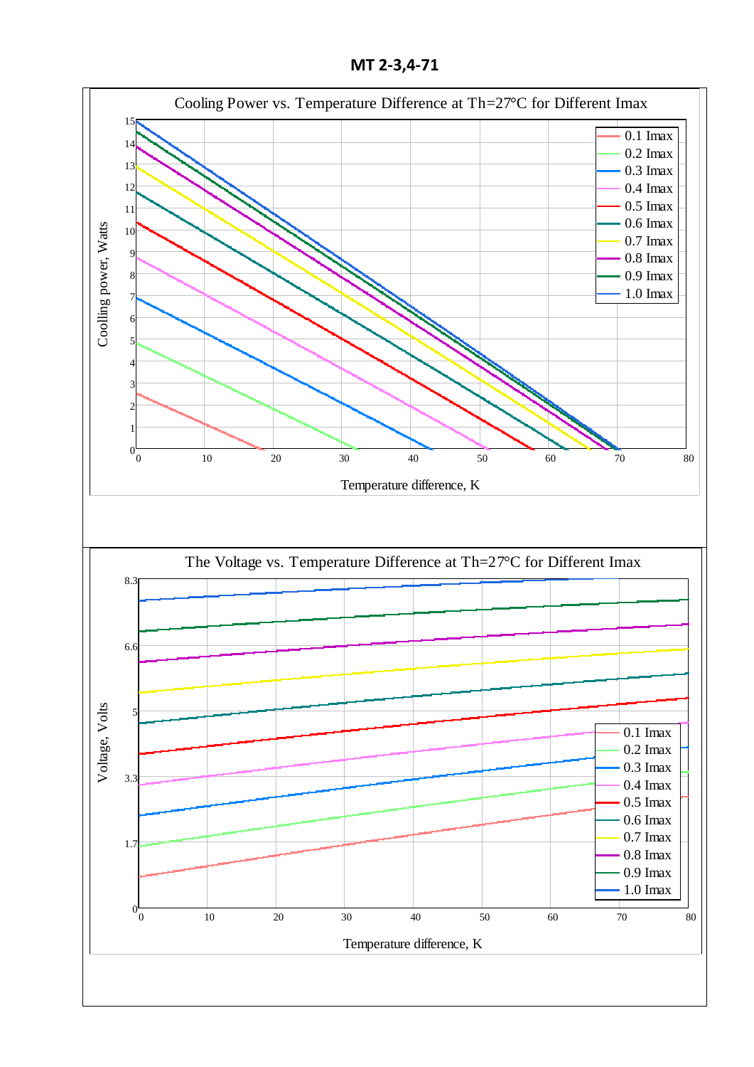**МТ 2-3,4-71**